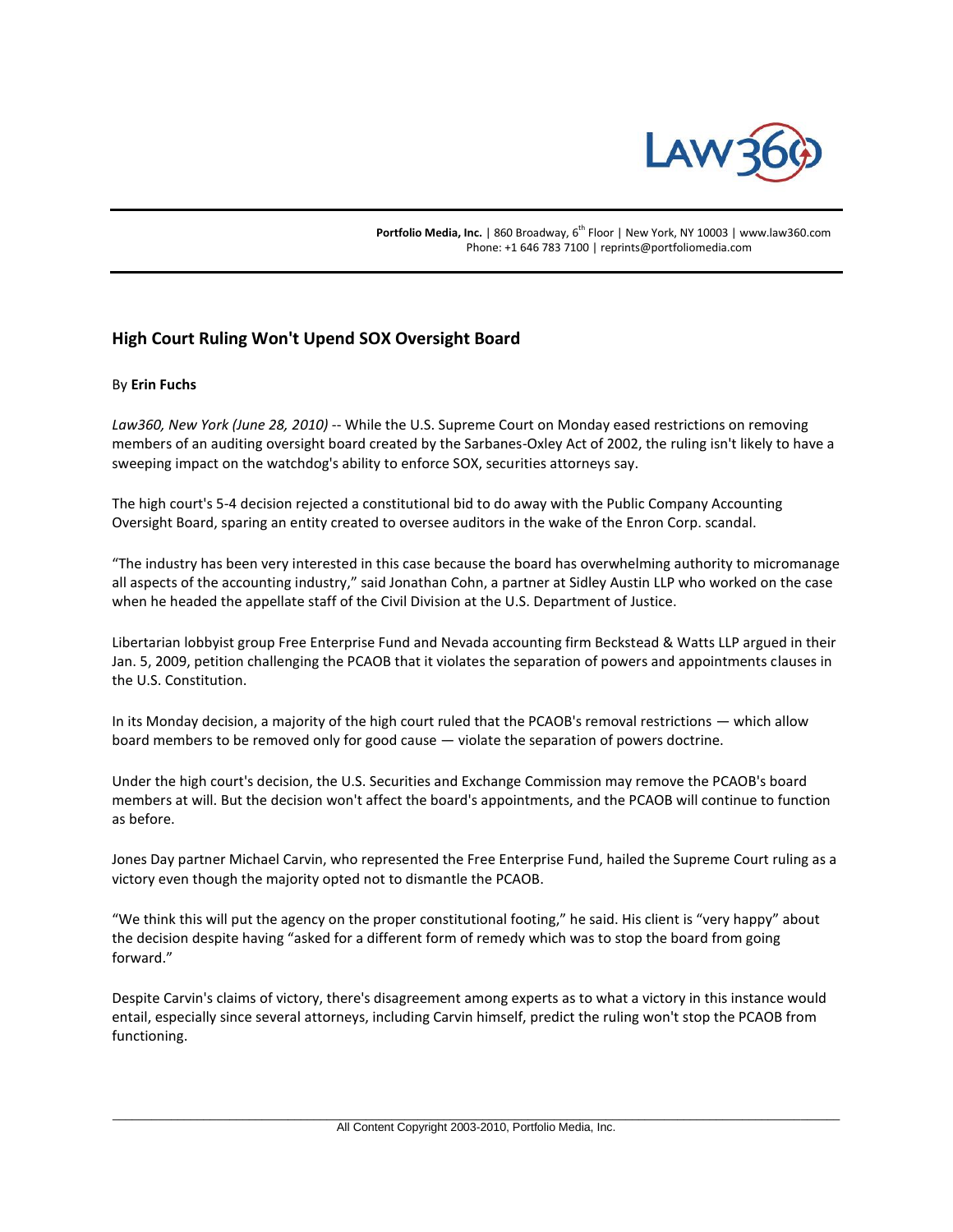

Portfolio Media, Inc. | 860 Broadway, 6<sup>th</sup> Floor | New York, NY 10003 | www.law360.com Phone: +1 646 783 7100 | reprints@portfoliomedia.com

## **High Court Ruling Won't Upend SOX Oversight Board**

## By **Erin Fuchs**

*Law360, New York (June 28, 2010)* -- While the U.S. Supreme Court on Monday eased restrictions on removing members of an auditing oversight board created by the Sarbanes-Oxley Act of 2002, the ruling isn't likely to have a sweeping impact on the watchdog's ability to enforce SOX, securities attorneys say.

The high court's 5-4 decision rejected a constitutional bid to do away with the Public Company Accounting Oversight Board, sparing an entity created to oversee auditors in the wake of the Enron Corp. scandal.

"The industry has been very interested in this case because the board has overwhelming authority to micromanage all aspects of the accounting industry," said Jonathan Cohn, a partner at Sidley Austin LLP who worked on the case when he headed the appellate staff of the Civil Division at the U.S. Department of Justice.

Libertarian lobbyist group Free Enterprise Fund and Nevada accounting firm Beckstead & Watts LLP argued in their Jan. 5, 2009, petition challenging the PCAOB that it violates the separation of powers and appointments clauses in the U.S. Constitution.

In its Monday decision, a majority of the high court ruled that the PCAOB's removal restrictions — which allow board members to be removed only for good cause — violate the separation of powers doctrine.

Under the high court's decision, the U.S. Securities and Exchange Commission may remove the PCAOB's board members at will. But the decision won't affect the board's appointments, and the PCAOB will continue to function as before.

Jones Day partner Michael Carvin, who represented the Free Enterprise Fund, hailed the Supreme Court ruling as a victory even though the majority opted not to dismantle the PCAOB.

"We think this will put the agency on the proper constitutional footing," he said. His client is "very happy" about the decision despite having "asked for a different form of remedy which was to stop the board from going forward."

Despite Carvin's claims of victory, there's disagreement among experts as to what a victory in this instance would entail, especially since several attorneys, including Carvin himself, predict the ruling won't stop the PCAOB from functioning.